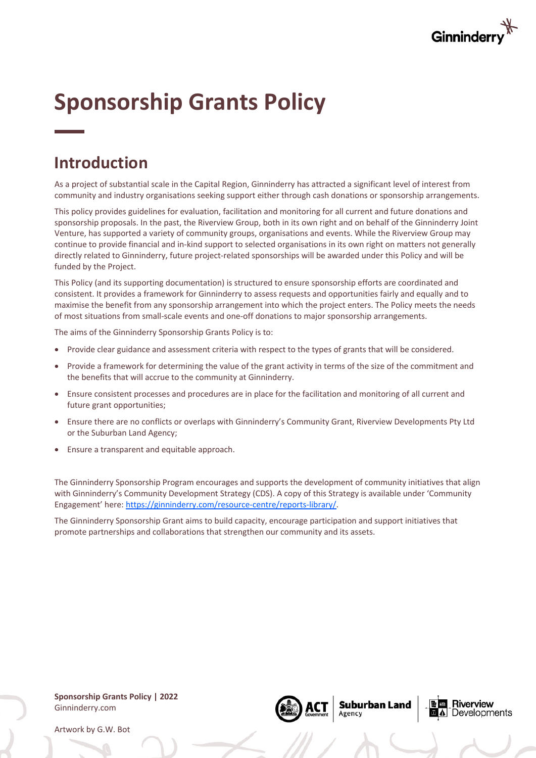

# **Sponsorship Grants Policy**

# **Introduction**

As a project of substantial scale in the Capital Region, Ginninderry has attracted a significant level of interest from community and industry organisations seeking support either through cash donations or sponsorship arrangements.

This policy provides guidelines for evaluation, facilitation and monitoring for all current and future donations and sponsorship proposals. In the past, the Riverview Group, both in its own right and on behalf of the Ginninderry Joint Venture, has supported a variety of community groups, organisations and events. While the Riverview Group may continue to provide financial and in-kind support to selected organisations in its own right on matters not generally directly related to Ginninderry, future project-related sponsorships will be awarded under this Policy and will be funded by the Project.

This Policy (and its supporting documentation) is structured to ensure sponsorship efforts are coordinated and consistent. It provides a framework for Ginninderry to assess requests and opportunities fairly and equally and to maximise the benefit from any sponsorship arrangement into which the project enters. The Policy meets the needs of most situations from small-scale events and one-off donations to major sponsorship arrangements.

The aims of the Ginninderry Sponsorship Grants Policy is to:

- Provide clear guidance and assessment criteria with respect to the types of grants that will be considered.
- Provide a framework for determining the value of the grant activity in terms of the size of the commitment and the benefits that will accrue to the community at Ginninderry.
- Ensure consistent processes and procedures are in place for the facilitation and monitoring of all current and future grant opportunities;
- Ensure there are no conflicts or overlaps with Ginninderry's Community Grant, Riverview Developments Pty Ltd or the Suburban Land Agency;
- Ensure a transparent and equitable approach.

The Ginninderry Sponsorship Program encourages and supports the development of community initiatives that align with Ginninderry's Community Development Strategy (CDS). A copy of this Strategy is available under 'Community Engagement' here: https://ginninderry.com/resource-centre/reports-library/.

The Ginninderry Sponsorship Grant aims to build capacity, encourage participation and support initiatives that promote partnerships and collaborations that strengthen our community and its assets.

**Sponsorship Grants Policy | 2022** Ginninderry.com



**Suburban Land** Agency

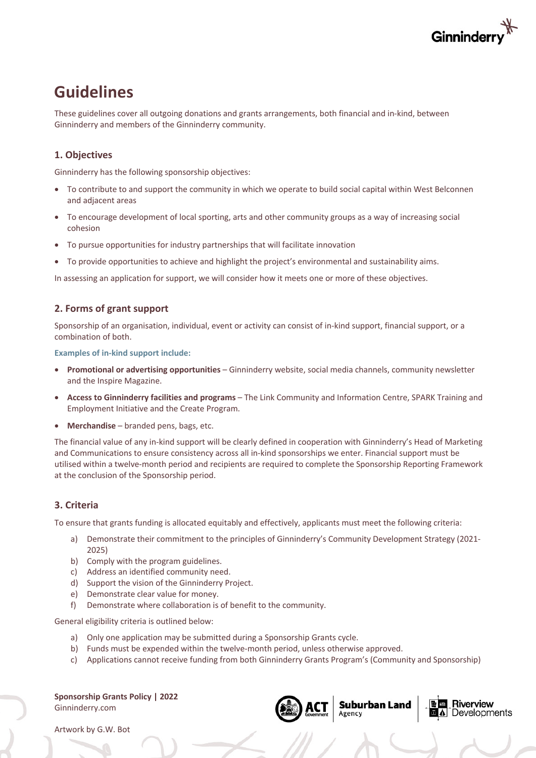

# **Guidelines**

These guidelines cover all outgoing donations and grants arrangements, both financial and in-kind, between Ginninderry and members of the Ginninderry community.

## **1. Objectives**

Ginninderry has the following sponsorship objectives:

- To contribute to and support the community in which we operate to build social capital within West Belconnen and adjacent areas
- To encourage development of local sporting, arts and other community groups as a way of increasing social cohesion
- To pursue opportunities for industry partnerships that will facilitate innovation
- To provide opportunities to achieve and highlight the project's environmental and sustainability aims.

In assessing an application for support, we will consider how it meets one or more of these objectives.

## **2. Forms of grant support**

Sponsorship of an organisation, individual, event or activity can consist of in-kind support, financial support, or a combination of both.

**Examples of in-kind support include:**

- **Promotional or advertising opportunities**  Ginninderry website, social media channels, community newsletter and the Inspire Magazine.
- **Access to Ginninderry facilities and programs** The Link Community and Information Centre, SPARK Training and Employment Initiative and the Create Program.
- **Merchandise** branded pens, bags, etc.

The financial value of any in-kind support will be clearly defined in cooperation with Ginninderry's Head of Marketing and Communications to ensure consistency across all in-kind sponsorships we enter. Financial support must be utilised within a twelve-month period and recipients are required to complete the Sponsorship Reporting Framework at the conclusion of the Sponsorship period.

#### **3. Criteria**

To ensure that grants funding is allocated equitably and effectively, applicants must meet the following criteria:

- a) Demonstrate their commitment to the principles of Ginninderry's Community Development Strategy (2021-2025)
- b) Comply with the program guidelines.
- c) Address an identified community need.
- d) Support the vision of the Ginninderry Project.
- e) Demonstrate clear value for money.
- f) Demonstrate where collaboration is of benefit to the community.

General eligibility criteria is outlined below:

- a) Only one application may be submitted during a Sponsorship Grants cycle.
- b) Funds must be expended within the twelve-month period, unless otherwise approved.
- c) Applications cannot receive funding from both Ginninderry Grants Program's (Community and Sponsorship)

**Sponsorship Grants Policy | 2022** Ginninderry.com



Suburban Land

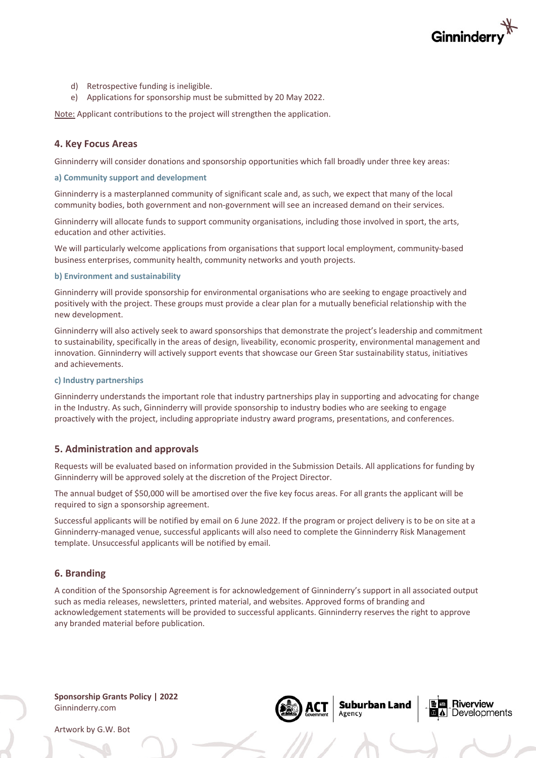

Riverview

Developments

**Suburban Land** 

- d) Retrospective funding is ineligible.
- e) Applications for sponsorship must be submitted by 20 May 2022.

Note: Applicant contributions to the project will strengthen the application.

#### **4. Key Focus Areas**

Ginninderry will consider donations and sponsorship opportunities which fall broadly under three key areas:

#### **a) Community support and development**

Ginninderry is a masterplanned community of significant scale and, as such, we expect that many of the local community bodies, both government and non-government will see an increased demand on their services.

Ginninderry will allocate funds to support community organisations, including those involved in sport, the arts, education and other activities.

We will particularly welcome applications from organisations that support local employment, community-based business enterprises, community health, community networks and youth projects.

#### **b) Environment and sustainability**

Ginninderry will provide sponsorship for environmental organisations who are seeking to engage proactively and positively with the project. These groups must provide a clear plan for a mutually beneficial relationship with the new development.

Ginninderry will also actively seek to award sponsorships that demonstrate the project's leadership and commitment to sustainability, specifically in the areas of design, liveability, economic prosperity, environmental management and innovation. Ginninderry will actively support events that showcase our Green Star sustainability status, initiatives and achievements.

#### **c) Industry partnerships**

Ginninderry understands the important role that industry partnerships play in supporting and advocating for change in the Industry. As such, Ginninderry will provide sponsorship to industry bodies who are seeking to engage proactively with the project, including appropriate industry award programs, presentations, and conferences.

#### **5. Administration and approvals**

Requests will be evaluated based on information provided in the Submission Details. All applications for funding by Ginninderry will be approved solely at the discretion of the Project Director.

The annual budget of \$50,000 will be amortised over the five key focus areas. For all grants the applicant will be required to sign a sponsorship agreement.

Successful applicants will be notified by email on 6 June 2022. If the program or project delivery is to be on site at a Ginninderry-managed venue, successful applicants will also need to complete the Ginninderry Risk Management template. Unsuccessful applicants will be notified by email.

#### **6. Branding**

A condition of the Sponsorship Agreement is for acknowledgement of Ginninderry's support in all associated output such as media releases, newsletters, printed material, and websites. Approved forms of branding and acknowledgement statements will be provided to successful applicants. Ginninderry reserves the right to approve any branded material before publication.

**Sponsorship Grants Policy | 2022** Ginninderry.com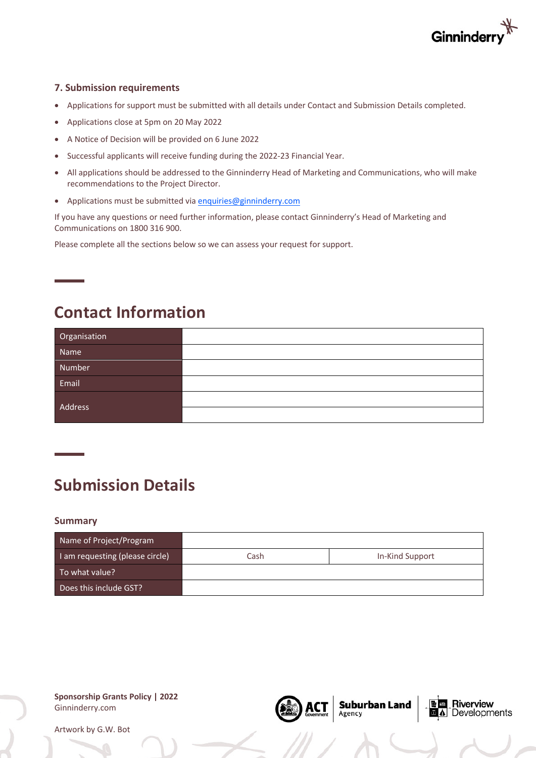

## **7. Submission requirements**

- Applications for support must be submitted with all details under Contact and Submission Details completed.
- Applications close at 5pm on 20 May 2022
- A Notice of Decision will be provided on 6 June 2022
- Successful applicants will receive funding during the 2022-23 Financial Year.
- All applications should be addressed to the Ginninderry Head of Marketing and Communications, who will make recommendations to the Project Director.
- Applications must be submitted via enquiries@ginninderry.com

If you have any questions or need further information, please contact Ginninderry's Head of Marketing and Communications on 1800 316 900.

Please complete all the sections below so we can assess your request for support.

# **Contact Information**

| Organisation |  |
|--------------|--|
| Name         |  |
| Number       |  |
| Email        |  |
| Address      |  |
|              |  |

# **Submission Details**

#### **Summary**

| Name of Project/Program         |      |                 |
|---------------------------------|------|-----------------|
| I am requesting (please circle) | Cash | In-Kind Support |
| To what value?                  |      |                 |
| Does this include GST?          |      |                 |

**Suburban Land**<br>Agency

**E** E Riverview

Developments

**Sponsorship Grants Policy | 2022** Ginninderry.com

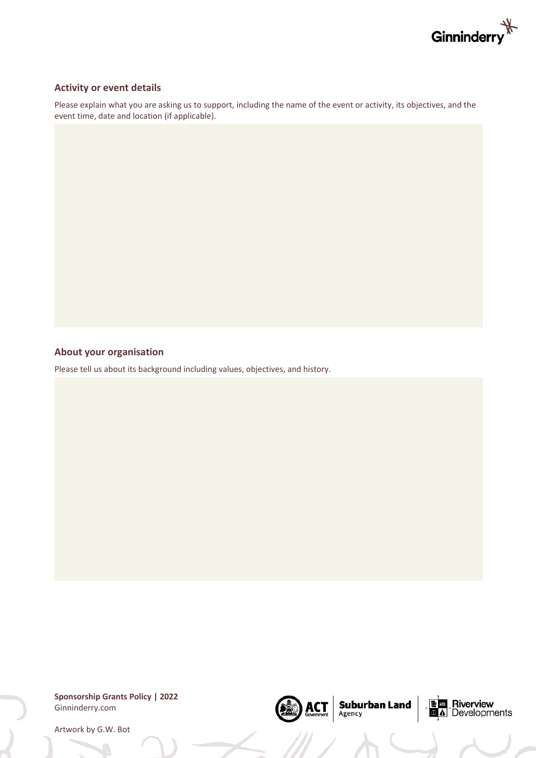

## **Activity or event details**

Please explain what you are asking us to support, including the name of the event or activity, its objectives, and the event time, date and location (if applicable).

### **About your organisation**

Please tell us about its background including values, objectives, and history.

**Sponsorship Grants Policy | 2022** Ginninderry.com

(DEC)

 $\text{ACT}_{\text{Government}}$  Suburban Land

**E E** Riverview<br>**E** A Developments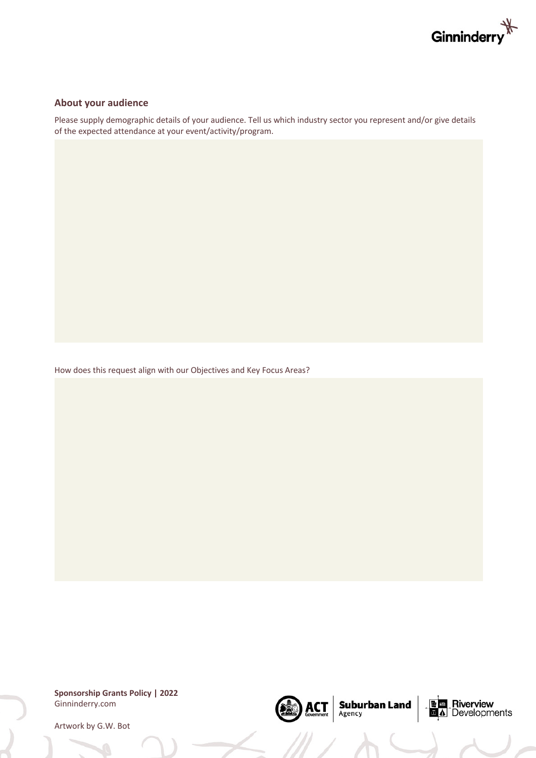

#### **About your audience**

Please supply demographic details of your audience. Tell us which industry sector you represent and/or give details of the expected attendance at your event/activity/program.

 $\text{ACT}_{\text{Government}}$  Suburban Land

**E E** Riverview<br>**E** A Developments

How does this request align with our Objectives and Key Focus Areas?

**Sponsorship Grants Policy | 2022** Ginninderry.com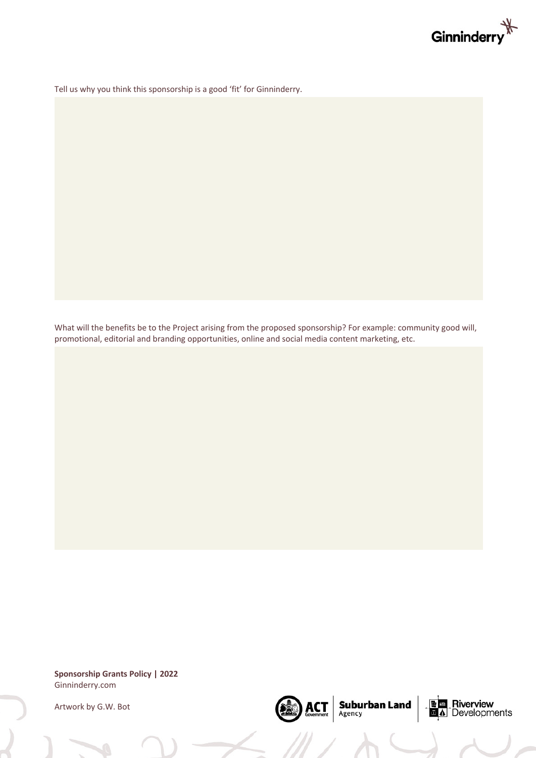

Tell us why you think this sponsorship is a good 'fit' for Ginninderry.

What will the benefits be to the Project arising from the proposed sponsorship? For example: community good will, promotional, editorial and branding opportunities, online and social media content marketing, etc.

**Sponsorship Grants Policy | 2022** Ginninderry.com

Artwork by G.W. Bot



 $\left|\underset{\text{Government}}{\text{ACT}}\right|\underset{\text{Agentry}}{\text{Suburban Land}}$ 

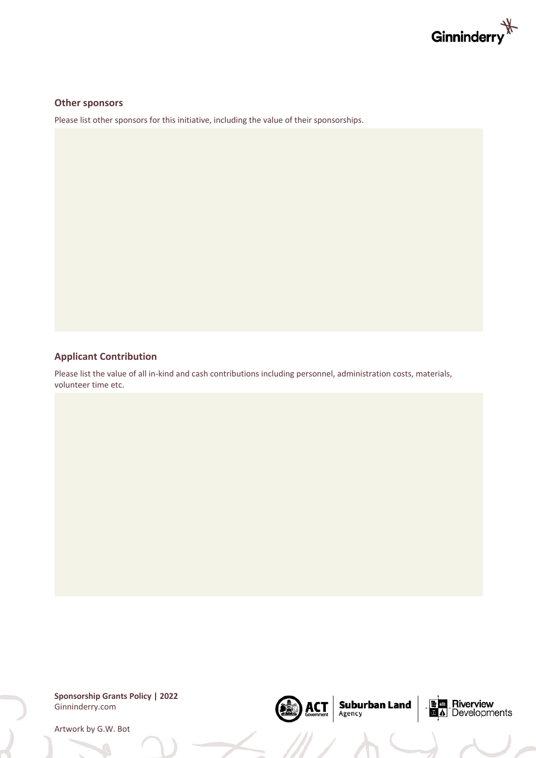

#### **Other sponsors**

Please list other sponsors for this initiative, including the value of their sponsorships.

### **Applicant Contribution**

Please list the value of all in-kind and cash contributions including personnel, administration costs, materials, volunteer time etc.

**Sponsorship Grants Policy | 2022** Ginninderry.com



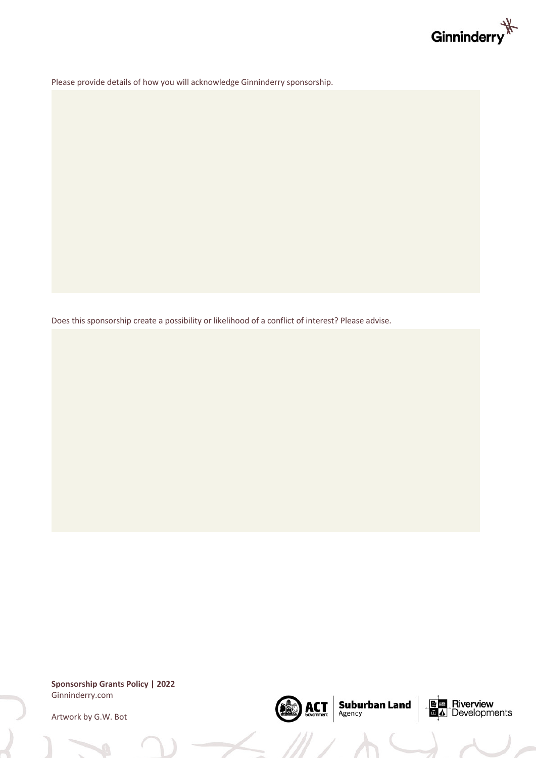

Please provide details of how you will acknowledge Ginninderry sponsorship.

Does this sponsorship create a possibility or likelihood of a conflict of interest? Please advise.

**Sponsorship Grants Policy | 2022** Ginninderry.com